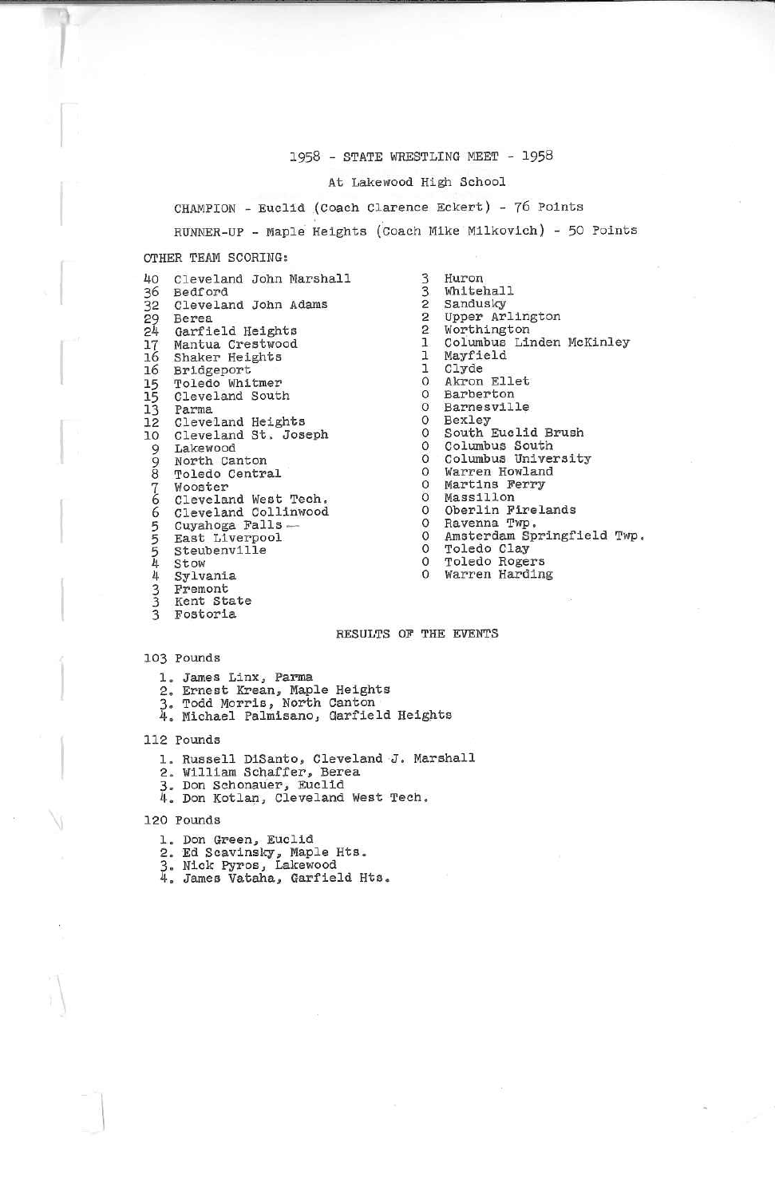#### 1958 - STATE WRESTLING MEET - 1958

## At Lakewood High School

CHAMPION - Euclid (Coach Clarence Eckert) - 76 Points

RUNNER-UP - Maple Heights (Coach Mike Milkovich) - 50 Points

# OTHER TEAM SCORING;

| 40<br>36 | Cleveland John Marshall<br>Bedford                                                                                                                                                                                                                    |  |
|----------|-------------------------------------------------------------------------------------------------------------------------------------------------------------------------------------------------------------------------------------------------------|--|
|          | 32 Cleveland John Adams                                                                                                                                                                                                                               |  |
|          | 29 Berea                                                                                                                                                                                                                                              |  |
| 24       | Garfield Heights                                                                                                                                                                                                                                      |  |
|          | 17 Mantua Crestwood                                                                                                                                                                                                                                   |  |
| 16       | Shaker Heights                                                                                                                                                                                                                                        |  |
| 16       | Bridgeport                                                                                                                                                                                                                                            |  |
|          | 15 Toledo Whitmer                                                                                                                                                                                                                                     |  |
|          | 15 Cleveland South                                                                                                                                                                                                                                    |  |
|          | 13 Parma                                                                                                                                                                                                                                              |  |
|          | 12 Cleveland Heights                                                                                                                                                                                                                                  |  |
|          | 10 Cleveland St. Joseph                                                                                                                                                                                                                               |  |
|          |                                                                                                                                                                                                                                                       |  |
|          |                                                                                                                                                                                                                                                       |  |
|          |                                                                                                                                                                                                                                                       |  |
|          |                                                                                                                                                                                                                                                       |  |
|          | Cleveland West Tech.                                                                                                                                                                                                                                  |  |
|          | Cleveland Collinwood                                                                                                                                                                                                                                  |  |
|          | Cuyahoga Falls -                                                                                                                                                                                                                                      |  |
|          |                                                                                                                                                                                                                                                       |  |
|          |                                                                                                                                                                                                                                                       |  |
|          |                                                                                                                                                                                                                                                       |  |
|          |                                                                                                                                                                                                                                                       |  |
|          |                                                                                                                                                                                                                                                       |  |
|          | 10 Cleveland St.<br>9 Lakewood<br>9 North Canton<br>8 Toledo Central<br>6 Cleveland West<br>6 Cleveland Coll:<br>5 Cuyahoga Falls<br>5 East Liverpool<br>4 Steubenville<br>4 Sylvania<br>3 Kent State<br>3 Kent State<br>3 Kent State<br>3 Kent State |  |
|          |                                                                                                                                                                                                                                                       |  |

3 3 2 2 £ 1 1 1 0 0 00 Bextey  $\circ$  0 0 0 0 0 0 0 $\circ$  0 0 0Huron WhitehallSandusky Upper ArlingtonWorthington Columbus Linden McKinleyMayfieldClyde Akron EIletBarber ton Barnesvllle South Euclid BrushColumbus South Columbus UniversityWarren Howland Martins Ferry Masslllon Oberlin FirelandsRavenna. Twp. Amsterdam Springfield Twp.Toledo Clay Toledo RogersWarren Harding

## RESULTS OF THE EVENTS

### 103 Pounds

- 1. James Linx, Parma
- 
- 
- 2. Ernest Krean, Maple Heights<br>3. Todd Morris, North Canton<br>4. Michael Palmisano, Garfield Heights

112 Pounds

- l, Russell DiSanto, Cleveland J. Marshall<br>2. William Schaffer, Berea
- 
- 
- 3. Bon Schonauer, Euclld 4. Don Kotlan, Cleveland West Tech.

120 Founds

- 1. Don Greenj Euclid
- 
- 2. Ed Scavinsky, Maple Hts. 3. Nick Pyros, Lakewood
- 4. James Vataha, Garfield Hts.